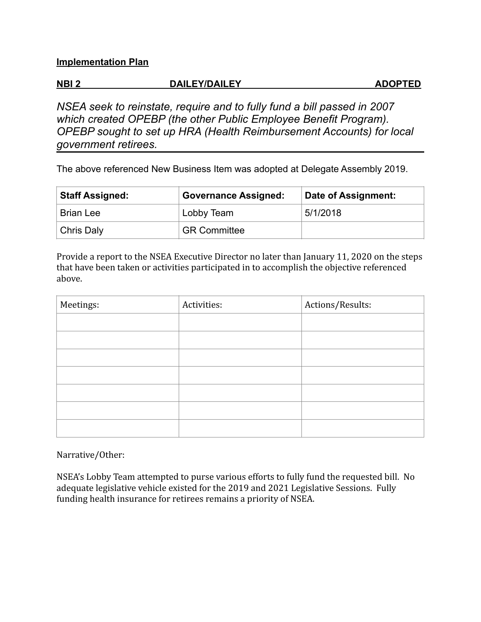#### **Implementation Plan**

## **NBI 2 DAILEY/DAILEY ADOPTED**

*NSEA seek to reinstate, require and to fully fund a bill passed in 2007 which created OPEBP (the other Public Employee Benefit Program). OPEBP sought to set up HRA (Health Reimbursement Accounts) for local government retirees.* 

The above referenced New Business Item was adopted at Delegate Assembly 2019.

| <b>Staff Assigned:</b> | <b>Governance Assigned:</b> | Date of Assignment: |
|------------------------|-----------------------------|---------------------|
| <b>Brian Lee</b>       | Lobby Team                  | 5/1/2018            |
| Chris Daly             | <b>GR Committee</b>         |                     |

Provide a report to the NSEA Executive Director no later than January 11, 2020 on the steps that have been taken or activities participated in to accomplish the objective referenced above.

| Meetings: | Activities: | Actions/Results: |
|-----------|-------------|------------------|
|           |             |                  |
|           |             |                  |
|           |             |                  |
|           |             |                  |
|           |             |                  |
|           |             |                  |
|           |             |                  |

Narrative/Other:

NSEA's Lobby Team attempted to purse various efforts to fully fund the requested bill. No adequate legislative vehicle existed for the 2019 and 2021 Legislative Sessions. Fully funding health insurance for retirees remains a priority of NSEA.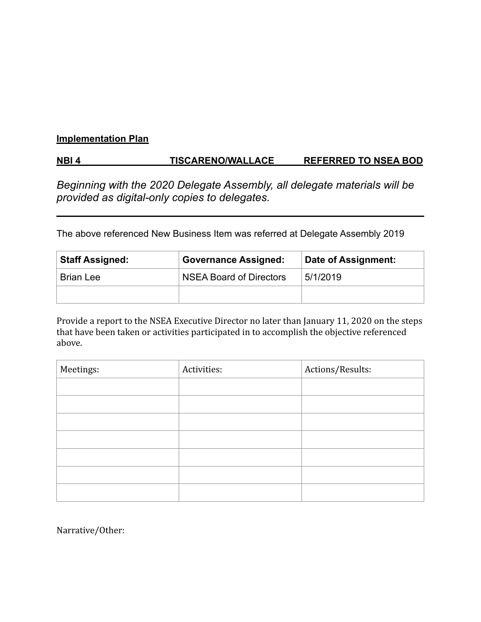#### **Implementation Plan**

## **NBI 4 TISCARENO/WALLACE REFERRED TO NSEA BOD**

*Beginning with the 2020 Delegate Assembly, all delegate materials will be provided as digital-only copies to delegates.* 

The above referenced New Business Item was referred at Delegate Assembly 2019

| <b>Staff Assigned:</b> | <b>Governance Assigned:</b>    | Date of Assignment: |
|------------------------|--------------------------------|---------------------|
| <b>Brian Lee</b>       | <b>NSEA Board of Directors</b> | 5/1/2019            |
|                        |                                |                     |

Provide a report to the NSEA Executive Director no later than January 11, 2020 on the steps that have been taken or activities participated in to accomplish the objective referenced above.

| Meetings: | Activities: | Actions/Results: |
|-----------|-------------|------------------|
|           |             |                  |
|           |             |                  |
|           |             |                  |
|           |             |                  |
|           |             |                  |
|           |             |                  |
|           |             |                  |

Narrative/Other: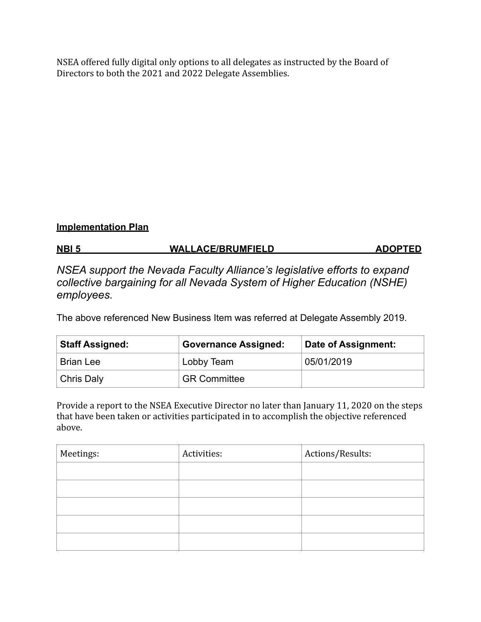NSEA offered fully digital only options to all delegates as instructed by the Board of Directors to both the 2021 and 2022 Delegate Assemblies.

### **Implementation Plan**

## **NBI 5 WALLACE/BRUMFIELD ADOPTED**

*NSEA support the Nevada Faculty Alliance's legislative efforts to expand collective bargaining for all Nevada System of Higher Education (NSHE) employees.* 

The above referenced New Business Item was referred at Delegate Assembly 2019.

| <b>Staff Assigned:</b> | <b>Governance Assigned:</b> | Date of Assignment: |
|------------------------|-----------------------------|---------------------|
| <b>Brian Lee</b>       | Lobby Team                  | 05/01/2019          |
| Chris Daly             | <sup>'</sup> GR Committee   |                     |

Provide a report to the NSEA Executive Director no later than January 11, 2020 on the steps that have been taken or activities participated in to accomplish the objective referenced above.

| Meetings: | Activities: | Actions/Results: |
|-----------|-------------|------------------|
|           |             |                  |
|           |             |                  |
|           |             |                  |
|           |             |                  |
|           |             |                  |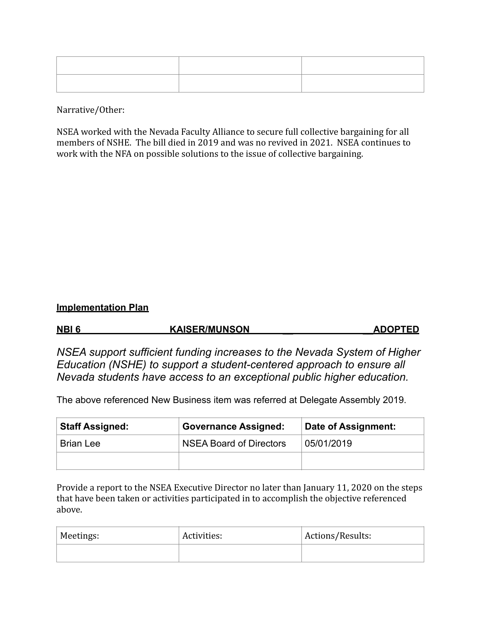Narrative/Other:

NSEA worked with the Nevada Faculty Alliance to secure full collective bargaining for all members of NSHE. The bill died in 2019 and was no revived in 2021. NSEA continues to work with the NFA on possible solutions to the issue of collective bargaining.

#### **Implementation Plan**

| NBI <sub>6</sub> | <b>KAISER/MUNSON</b> | <b>ADOPTED</b> |
|------------------|----------------------|----------------|
|                  |                      |                |

*NSEA support sufficient funding increases to the Nevada System of Higher Education (NSHE) to support a student-centered approach to ensure all Nevada students have access to an exceptional public higher education.*

The above referenced New Business item was referred at Delegate Assembly 2019.

| <b>Staff Assigned:</b> | <b>Governance Assigned:</b>    | Date of Assignment: |
|------------------------|--------------------------------|---------------------|
| <b>Brian Lee</b>       | <b>NSEA Board of Directors</b> | 05/01/2019          |
|                        |                                |                     |

Provide a report to the NSEA Executive Director no later than January 11, 2020 on the steps that have been taken or activities participated in to accomplish the objective referenced above.

| Meetings: | Activities: | Actions/Results: |
|-----------|-------------|------------------|
|           |             |                  |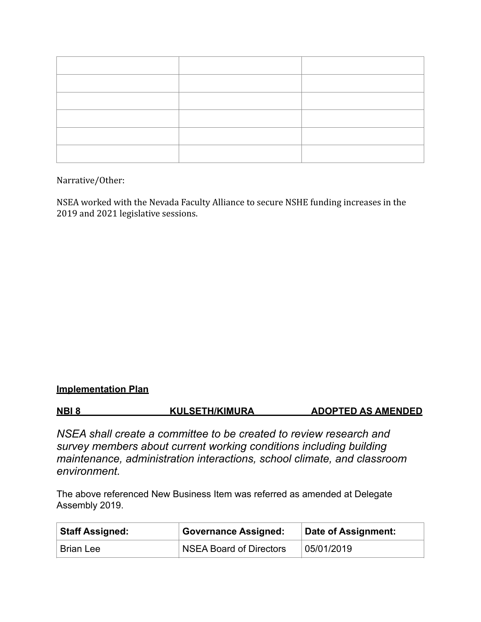Narrative/Other:

NSEA worked with the Nevada Faculty Alliance to secure NSHE funding increases in the 2019 and 2021 legislative sessions.

### **Implementation Plan**

**NBI 8 KULSETH/KIMURA ADOPTED AS AMENDED**

*NSEA shall create a committee to be created to review research and survey members about current working conditions including building maintenance, administration interactions, school climate, and classroom environment.* 

The above referenced New Business Item was referred as amended at Delegate Assembly 2019.

| <b>Staff Assigned:</b> | Governance Assigned:    | Date of Assignment: |
|------------------------|-------------------------|---------------------|
| <b>Brian Lee</b>       | NSEA Board of Directors | 05/01/2019          |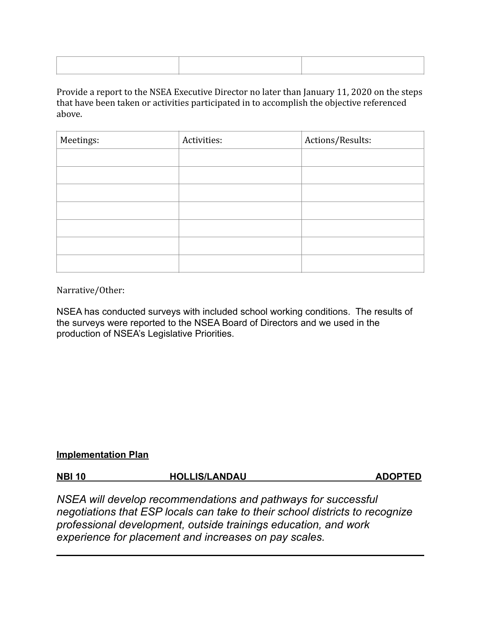Provide a report to the NSEA Executive Director no later than January 11, 2020 on the steps that have been taken or activities participated in to accomplish the objective referenced above.

| Meetings: | Activities: | Actions/Results: |
|-----------|-------------|------------------|
|           |             |                  |
|           |             |                  |
|           |             |                  |
|           |             |                  |
|           |             |                  |
|           |             |                  |
|           |             |                  |

Narrative/Other:

NSEA has conducted surveys with included school working conditions. The results of the surveys were reported to the NSEA Board of Directors and we used in the production of NSEA's Legislative Priorities.

#### **Implementation Plan**

| <b>NBI 10</b> | <b>HOLLIS/LANDAU</b> | <b>ADOPTED</b> |
|---------------|----------------------|----------------|
|               |                      |                |

*NSEA will develop recommendations and pathways for successful negotiations that ESP locals can take to their school districts to recognize professional development, outside trainings education, and work experience for placement and increases on pay scales.*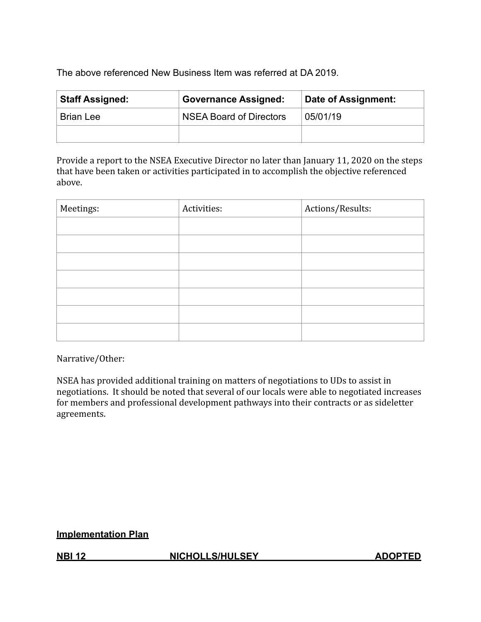The above referenced New Business Item was referred at DA 2019.

| <b>Staff Assigned:</b> | <b>Governance Assigned:</b>    | Date of Assignment: |
|------------------------|--------------------------------|---------------------|
| <b>Brian Lee</b>       | <b>NSEA Board of Directors</b> | 05/01/19            |
|                        |                                |                     |

Provide a report to the NSEA Executive Director no later than January 11, 2020 on the steps that have been taken or activities participated in to accomplish the objective referenced above.

| Meetings: | Activities: | Actions/Results: |
|-----------|-------------|------------------|
|           |             |                  |
|           |             |                  |
|           |             |                  |
|           |             |                  |
|           |             |                  |
|           |             |                  |
|           |             |                  |

Narrative/Other:

NSEA has provided additional training on matters of negotiations to UDs to assist in negotiations. It should be noted that several of our locals were able to negotiated increases for members and professional development pathways into their contracts or as sideletter agreements. 

### **Implementation Plan**

**NBI 12 NICHOLLS/HULSEY ADOPTED**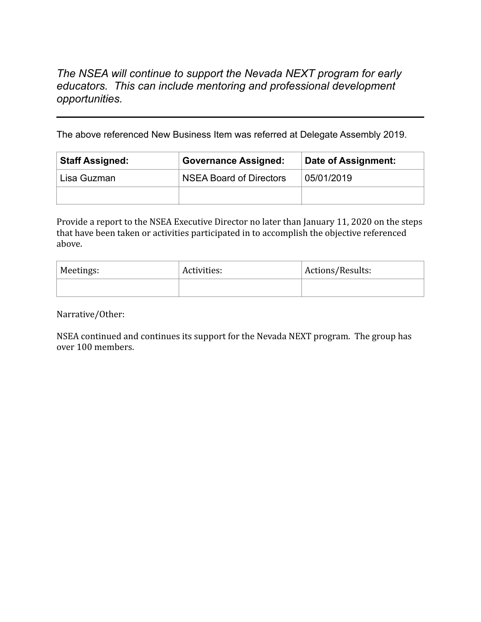## *The NSEA will continue to support the Nevada NEXT program for early educators. This can include mentoring and professional development opportunities.*

The above referenced New Business Item was referred at Delegate Assembly 2019.

| <b>Staff Assigned:</b> | <b>Governance Assigned:</b>    | Date of Assignment: |
|------------------------|--------------------------------|---------------------|
| Lisa Guzman            | <b>NSEA Board of Directors</b> | 05/01/2019          |
|                        |                                |                     |

Provide a report to the NSEA Executive Director no later than January 11, 2020 on the steps that have been taken or activities participated in to accomplish the objective referenced above.

| Meetings: | Activities: | Actions/Results: |
|-----------|-------------|------------------|
|           |             |                  |

Narrative/Other: 

NSEA continued and continues its support for the Nevada NEXT program. The group has over 100 members.